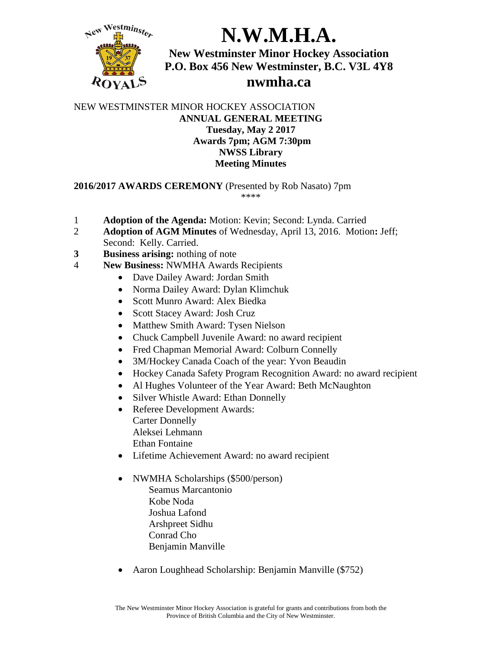

# **N.W.M.H.A.**

**New Westminster Minor Hockey Association P.O. Box 456 New Westminster, B.C. V3L 4Y8 nwmha.ca**

### NEW WESTMINSTER MINOR HOCKEY ASSOCIATION **ANNUAL GENERAL MEETING Tuesday, May 2 2017 Awards 7pm; AGM 7:30pm NWSS Library Meeting Minutes**

**2016/2017 AWARDS CEREMONY** (Presented by Rob Nasato) 7pm \*\*\*\*

- 1 **Adoption of the Agenda:** Motion: Kevin; Second: Lynda. Carried
- 2 **Adoption of AGM Minutes** of Wednesday, April 13, 2016. Motion**:** Jeff; Second: Kelly. Carried.
- **3 Business arising:** nothing of note
- 4 **New Business:** NWMHA Awards Recipients
	- Dave Dailey Award: Jordan Smith
	- Norma Dailey Award: Dylan Klimchuk
	- Scott Munro Award: Alex Biedka
	- Scott Stacey Award: Josh Cruz
	- Matthew Smith Award: Tysen Nielson
	- Chuck Campbell Juvenile Award: no award recipient
	- Fred Chapman Memorial Award: Colburn Connelly
	- 3M/Hockey Canada Coach of the year: Yvon Beaudin
	- Hockey Canada Safety Program Recognition Award: no award recipient
	- Al Hughes Volunteer of the Year Award: Beth McNaughton
	- Silver Whistle Award: Ethan Donnelly
	- Referee Development Awards: Carter Donnelly Aleksei Lehmann Ethan Fontaine
	- Lifetime Achievement Award: no award recipient
	- NWMHA Scholarships (\$500/person) Seamus Marcantonio Kobe Noda Joshua Lafond Arshpreet Sidhu Conrad Cho Benjamin Manville
	- Aaron Loughhead Scholarship: Benjamin Manville (\$752)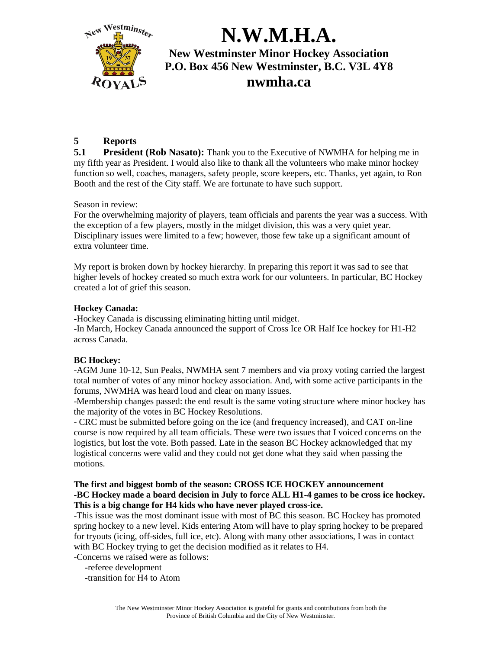

# **5 Reports**

**5.1 President (Rob Nasato):** Thank you to the Executive of NWMHA for helping me in my fifth year as President. I would also like to thank all the volunteers who make minor hockey function so well, coaches, managers, safety people, score keepers, etc. Thanks, yet again, to Ron Booth and the rest of the City staff. We are fortunate to have such support.

Season in review:

For the overwhelming majority of players, team officials and parents the year was a success. With the exception of a few players, mostly in the midget division, this was a very quiet year. Disciplinary issues were limited to a few; however, those few take up a significant amount of extra volunteer time.

My report is broken down by hockey hierarchy. In preparing this report it was sad to see that higher levels of hockey created so much extra work for our volunteers. In particular, BC Hockey created a lot of grief this season.

### **Hockey Canada:**

**-**Hockey Canada is discussing eliminating hitting until midget. -In March, Hockey Canada announced the support of Cross Ice OR Half Ice hockey for H1-H2 across Canada.

### **BC Hockey:**

-AGM June 10-12, Sun Peaks, NWMHA sent 7 members and via proxy voting carried the largest total number of votes of any minor hockey association. And, with some active participants in the forums, NWMHA was heard loud and clear on many issues.

-Membership changes passed: the end result is the same voting structure where minor hockey has the majority of the votes in BC Hockey Resolutions.

- CRC must be submitted before going on the ice (and frequency increased), and CAT on-line course is now required by all team officials. These were two issues that I voiced concerns on the logistics, but lost the vote. Both passed. Late in the season BC Hockey acknowledged that my logistical concerns were valid and they could not get done what they said when passing the motions.

#### **The first and biggest bomb of the season: CROSS ICE HOCKEY announcement -BC Hockey made a board decision in July to force ALL H1-4 games to be cross ice hockey. This is a big change for H4 kids who have never played cross-ice.**

-This issue was the most dominant issue with most of BC this season. BC Hockey has promoted spring hockey to a new level. Kids entering Atom will have to play spring hockey to be prepared for tryouts (icing, off-sides, full ice, etc). Along with many other associations, I was in contact with BC Hockey trying to get the decision modified as it relates to H4.

-Concerns we raised were as follows:

**-**referee development

**-**transition for H4 to Atom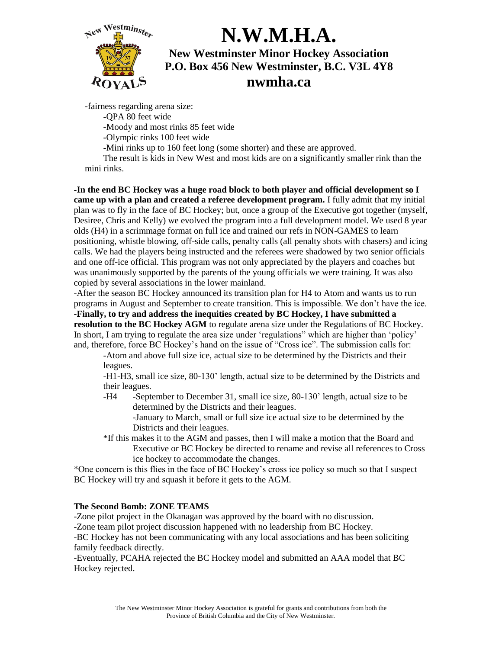

**-**fairness regarding arena size:

**-**QPA 80 feet wide

**-**Moody and most rinks 85 feet wide

**-**Olympic rinks 100 feet wide

**-**Mini rinks up to 160 feet long (some shorter) and these are approved.

The result is kids in New West and most kids are on a significantly smaller rink than the mini rinks.

**-In the end BC Hockey was a huge road block to both player and official development so I came up with a plan and created a referee development program.** I fully admit that my initial plan was to fly in the face of BC Hockey; but, once a group of the Executive got together (myself, Desiree, Chris and Kelly) we evolved the program into a full development model. We used 8 year olds (H4) in a scrimmage format on full ice and trained our refs in NON-GAMES to learn positioning, whistle blowing, off-side calls, penalty calls (all penalty shots with chasers) and icing calls. We had the players being instructed and the referees were shadowed by two senior officials and one off-ice official. This program was not only appreciated by the players and coaches but was unanimously supported by the parents of the young officials we were training. It was also copied by several associations in the lower mainland.

-After the season BC Hockey announced its transition plan for H4 to Atom and wants us to run programs in August and September to create transition. This is impossible. We don't have the ice. **-Finally, to try and address the inequities created by BC Hockey, I have submitted a resolution to the BC Hockey AGM** to regulate arena size under the Regulations of BC Hockey. In short, I am trying to regulate the area size under 'regulations" which are higher than 'policy' and, therefore, force BC Hockey's hand on the issue of "Cross ice". The submission calls for:

-Atom and above full size ice, actual size to be determined by the Districts and their leagues.

-H1-H3, small ice size, 80-130' length, actual size to be determined by the Districts and their leagues.

-H4 -September to December 31, small ice size, 80-130' length, actual size to be determined by the Districts and their leagues.

-January to March, small or full size ice actual size to be determined by the Districts and their leagues.

\*If this makes it to the AGM and passes, then I will make a motion that the Board and Executive or BC Hockey be directed to rename and revise all references to Cross ice hockey to accommodate the changes.

\*One concern is this flies in the face of BC Hockey's cross ice policy so much so that I suspect BC Hockey will try and squash it before it gets to the AGM.

### **The Second Bomb: ZONE TEAMS**

-Zone pilot project in the Okanagan was approved by the board with no discussion.

-Zone team pilot project discussion happened with no leadership from BC Hockey.

-BC Hockey has not been communicating with any local associations and has been soliciting family feedback directly.

-Eventually, PCAHA rejected the BC Hockey model and submitted an AAA model that BC Hockey rejected.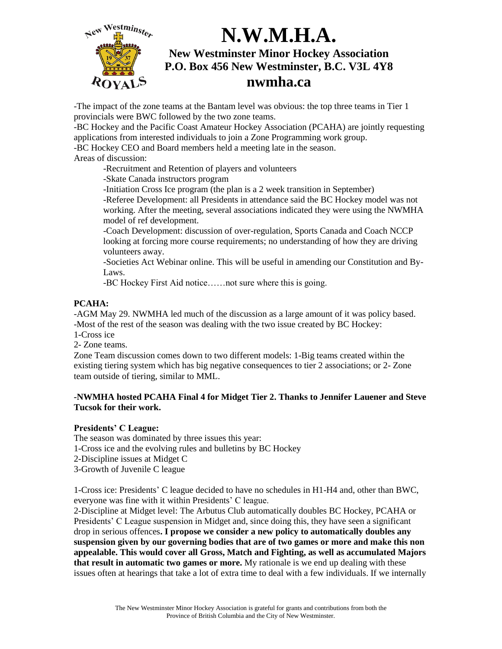

-The impact of the zone teams at the Bantam level was obvious: the top three teams in Tier 1 provincials were BWC followed by the two zone teams.

-BC Hockey and the Pacific Coast Amateur Hockey Association (PCAHA) are jointly requesting applications from interested individuals to join a Zone Programming work group.

-BC Hockey CEO and Board members held a meeting late in the season.

Areas of discussion:

-Recruitment and Retention of players and volunteers

-Skate Canada instructors program

-Initiation Cross Ice program (the plan is a 2 week transition in September)

-Referee Development: all Presidents in attendance said the BC Hockey model was not working. After the meeting, several associations indicated they were using the NWMHA model of ref development.

-Coach Development: discussion of over-regulation, Sports Canada and Coach NCCP looking at forcing more course requirements; no understanding of how they are driving volunteers away.

-Societies Act Webinar online. This will be useful in amending our Constitution and By-Laws.

-BC Hockey First Aid notice……not sure where this is going.

### **PCAHA:**

-AGM May 29. NWMHA led much of the discussion as a large amount of it was policy based. -Most of the rest of the season was dealing with the two issue created by BC Hockey: 1-Cross ice

2- Zone teams.

Zone Team discussion comes down to two different models: 1-Big teams created within the existing tiering system which has big negative consequences to tier 2 associations; or 2- Zone team outside of tiering, similar to MML.

### **-NWMHA hosted PCAHA Final 4 for Midget Tier 2. Thanks to Jennifer Lauener and Steve Tucsok for their work.**

### **Presidents' C League:**

The season was dominated by three issues this year:

1-Cross ice and the evolving rules and bulletins by BC Hockey

2-Discipline issues at Midget C

3-Growth of Juvenile C league

1-Cross ice: Presidents' C league decided to have no schedules in H1-H4 and, other than BWC, everyone was fine with it within Presidents' C league.

2-Discipline at Midget level: The Arbutus Club automatically doubles BC Hockey, PCAHA or Presidents' C League suspension in Midget and, since doing this, they have seen a significant drop in serious offences**. I propose we consider a new policy to automatically doubles any suspension given by our governing bodies that are of two games or more and make this non appealable. This would cover all Gross, Match and Fighting, as well as accumulated Majors that result in automatic two games or more.** My rationale is we end up dealing with these issues often at hearings that take a lot of extra time to deal with a few individuals. If we internally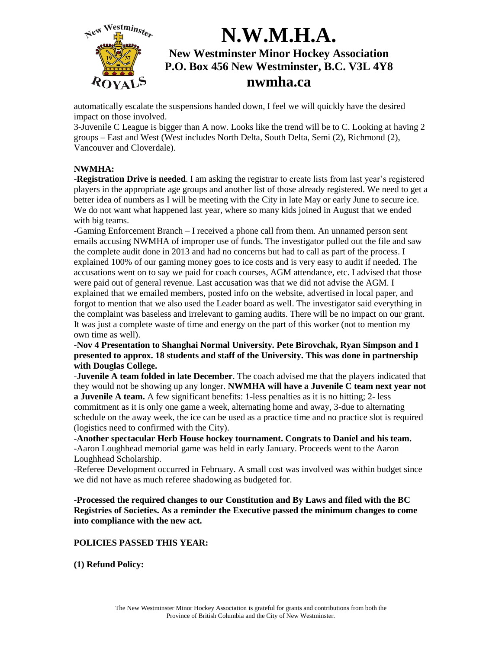

automatically escalate the suspensions handed down, I feel we will quickly have the desired impact on those involved.

3-Juvenile C League is bigger than A now. Looks like the trend will be to C. Looking at having 2 groups – East and West (West includes North Delta, South Delta, Semi (2), Richmond (2), Vancouver and Cloverdale).

### **NWMHA:**

-**Registration Drive is needed**. I am asking the registrar to create lists from last year's registered players in the appropriate age groups and another list of those already registered. We need to get a better idea of numbers as I will be meeting with the City in late May or early June to secure ice. We do not want what happened last year, where so many kids joined in August that we ended with big teams.

-Gaming Enforcement Branch – I received a phone call from them. An unnamed person sent emails accusing NWMHA of improper use of funds. The investigator pulled out the file and saw the complete audit done in 2013 and had no concerns but had to call as part of the process. I explained 100% of our gaming money goes to ice costs and is very easy to audit if needed. The accusations went on to say we paid for coach courses, AGM attendance, etc. I advised that those were paid out of general revenue. Last accusation was that we did not advise the AGM. I explained that we emailed members, posted info on the website, advertised in local paper, and forgot to mention that we also used the Leader board as well. The investigator said everything in the complaint was baseless and irrelevant to gaming audits. There will be no impact on our grant. It was just a complete waste of time and energy on the part of this worker (not to mention my own time as well).

**-Nov 4 Presentation to Shanghai Normal University. Pete Birovchak, Ryan Simpson and I presented to approx. 18 students and staff of the University. This was done in partnership with Douglas College.**

-**Juvenile A team folded in late December**. The coach advised me that the players indicated that they would not be showing up any longer. **NWMHA will have a Juvenile C team next year not a Juvenile A team.** A few significant benefits: 1-less penalties as it is no hitting; 2- less commitment as it is only one game a week, alternating home and away, 3-due to alternating schedule on the away week, the ice can be used as a practice time and no practice slot is required (logistics need to confirmed with the City).

**-Another spectacular Herb House hockey tournament. Congrats to Daniel and his team.** -Aaron Loughhead memorial game was held in early January. Proceeds went to the Aaron Loughhead Scholarship.

-Referee Development occurred in February. A small cost was involved was within budget since we did not have as much referee shadowing as budgeted for.

**-Processed the required changes to our Constitution and By Laws and filed with the BC Registries of Societies. As a reminder the Executive passed the minimum changes to come into compliance with the new act.**

### **POLICIES PASSED THIS YEAR:**

**(1) Refund Policy:**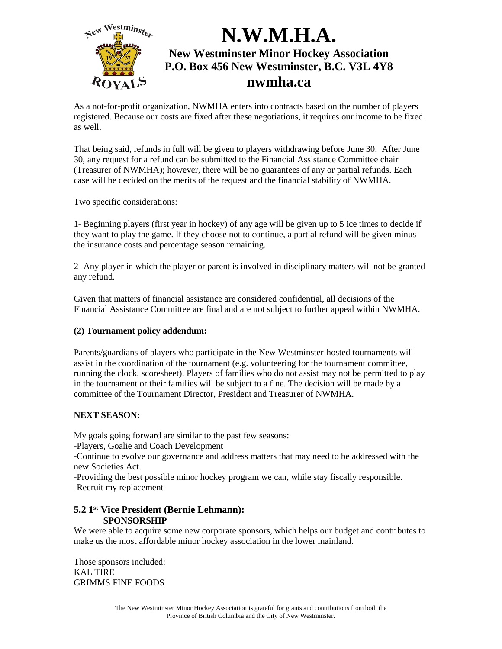

As a not-for-profit organization, NWMHA enters into contracts based on the number of players registered. Because our costs are fixed after these negotiations, it requires our income to be fixed as well.

That being said, refunds in full will be given to players withdrawing before June 30. After June 30, any request for a refund can be submitted to the Financial Assistance Committee chair (Treasurer of NWMHA); however, there will be no guarantees of any or partial refunds. Each case will be decided on the merits of the request and the financial stability of NWMHA.

Two specific considerations:

1- Beginning players (first year in hockey) of any age will be given up to 5 ice times to decide if they want to play the game. If they choose not to continue, a partial refund will be given minus the insurance costs and percentage season remaining.

2- Any player in which the player or parent is involved in disciplinary matters will not be granted any refund.

Given that matters of financial assistance are considered confidential, all decisions of the Financial Assistance Committee are final and are not subject to further appeal within NWMHA.

### **(2) Tournament policy addendum:**

Parents/guardians of players who participate in the New Westminster-hosted tournaments will assist in the coordination of the tournament (e.g. volunteering for the tournament committee, running the clock, scoresheet). Players of families who do not assist may not be permitted to play in the tournament or their families will be subject to a fine. The decision will be made by a committee of the Tournament Director, President and Treasurer of NWMHA.

### **NEXT SEASON:**

My goals going forward are similar to the past few seasons:

-Players, Goalie and Coach Development

-Continue to evolve our governance and address matters that may need to be addressed with the new Societies Act.

-Providing the best possible minor hockey program we can, while stay fiscally responsible. -Recruit my replacement

#### **5.2 1 st Vice President (Bernie Lehmann): SPONSORSHIP**

We were able to acquire some new corporate sponsors, which helps our budget and contributes to make us the most affordable minor hockey association in the lower mainland.

Those sponsors included: KAL TIRE GRIMMS FINE FOODS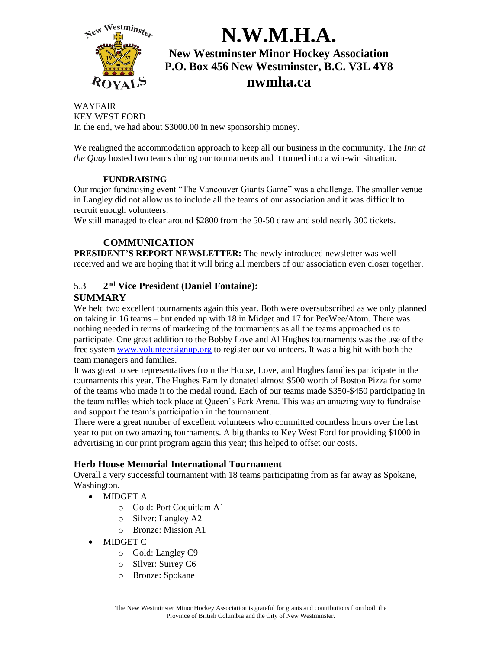

WAYFAIR KEY WEST FORD

In the end, we had about \$3000.00 in new sponsorship money.

We realigned the accommodation approach to keep all our business in the community. The *Inn at the Quay* hosted two teams during our tournaments and it turned into a win-win situation.

#### **FUNDRAISING**

Our major fundraising event "The Vancouver Giants Game" was a challenge. The smaller venue in Langley did not allow us to include all the teams of our association and it was difficult to recruit enough volunteers.

We still managed to clear around \$2800 from the 50-50 draw and sold nearly 300 tickets.

# **COMMUNICATION**

**PRESIDENT'S REPORT NEWSLETTER:** The newly introduced newsletter was wellreceived and we are hoping that it will bring all members of our association even closer together.

#### 5.3 **2 nd Vice President (Daniel Fontaine):**

### **SUMMARY**

We held two excellent tournaments again this year. Both were oversubscribed as we only planned on taking in 16 teams – but ended up with 18 in Midget and 17 for PeeWee/Atom. There was nothing needed in terms of marketing of the tournaments as all the teams approached us to participate. One great addition to the Bobby Love and Al Hughes tournaments was the use of the free system [www.volunteersignup.org](http://www.volunteersignup.org/) to register our volunteers. It was a big hit with both the team managers and families.

It was great to see representatives from the House, Love, and Hughes families participate in the tournaments this year. The Hughes Family donated almost \$500 worth of Boston Pizza for some of the teams who made it to the medal round. Each of our teams made \$350-\$450 participating in the team raffles which took place at Queen's Park Arena. This was an amazing way to fundraise and support the team's participation in the tournament.

There were a great number of excellent volunteers who committed countless hours over the last year to put on two amazing tournaments. A big thanks to Key West Ford for providing \$1000 in advertising in our print program again this year; this helped to offset our costs.

# **Herb House Memorial International Tournament**

Overall a very successful tournament with 18 teams participating from as far away as Spokane, Washington.

- MIDGET A
	- o Gold: Port Coquitlam A1
	- o Silver: Langley A2
	- o Bronze: Mission A1
- MIDGET C
	- o Gold: Langley C9
	- o Silver: Surrey C6
	- o Bronze: Spokane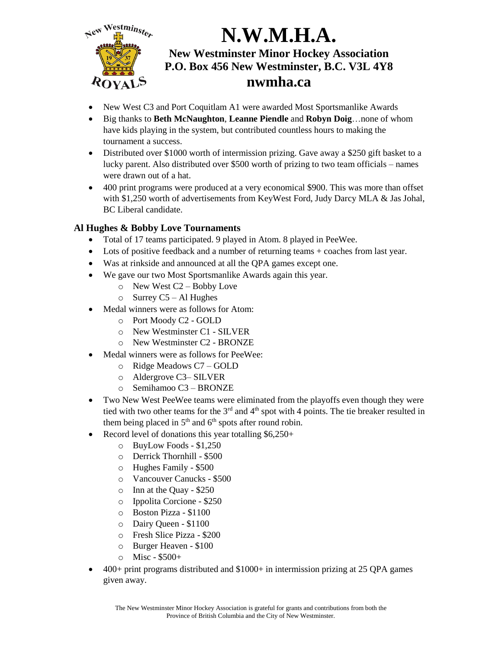

- New West C3 and Port Coquitlam A1 were awarded Most Sportsmanlike Awards
- Big thanks to **Beth McNaughton**, **Leanne Piendle** and **Robyn Doig**…none of whom have kids playing in the system, but contributed countless hours to making the tournament a success.
- Distributed over \$1000 worth of intermission prizing. Gave away a \$250 gift basket to a lucky parent. Also distributed over \$500 worth of prizing to two team officials – names were drawn out of a hat.
- 400 print programs were produced at a very economical \$900. This was more than offset with \$1,250 worth of advertisements from KeyWest Ford, Judy Darcy MLA & Jas Johal, BC Liberal candidate.

# **Al Hughes & Bobby Love Tournaments**

- Total of 17 teams participated. 9 played in Atom. 8 played in PeeWee.
- Lots of positive feedback and a number of returning teams + coaches from last year.
- Was at rinkside and announced at all the QPA games except one.
- We gave our two Most Sportsmanlike Awards again this year.
	- o New West C2 Bobby Love
	- o Surrey C5 Al Hughes
- Medal winners were as follows for Atom:
	- o Port Moody C2 GOLD
	- o New Westminster C1 SILVER
	- o New Westminster C2 BRONZE
- Medal winners were as follows for PeeWee:
	- o Ridge Meadows C7 GOLD
	- o Aldergrove C3– SILVER
	- o Semihamoo C3 BRONZE
- Two New West PeeWee teams were eliminated from the playoffs even though they were tied with two other teams for the  $3<sup>rd</sup>$  and  $4<sup>th</sup>$  spot with 4 points. The tie breaker resulted in them being placed in  $5<sup>th</sup>$  and  $6<sup>th</sup>$  spots after round robin.
- Record level of donations this year totalling \$6,250+
	- o BuyLow Foods \$1,250
	- o Derrick Thornhill \$500
	- o Hughes Family \$500
	- o Vancouver Canucks \$500
	- o Inn at the Quay \$250
	- o Ippolita Corcione \$250
	- o Boston Pizza \$1100
	- o Dairy Queen \$1100
	- o Fresh Slice Pizza \$200
	- o Burger Heaven \$100
	- o Misc \$500+
- $\bullet$  400+ print programs distributed and \$1000+ in intermission prizing at 25 QPA games given away.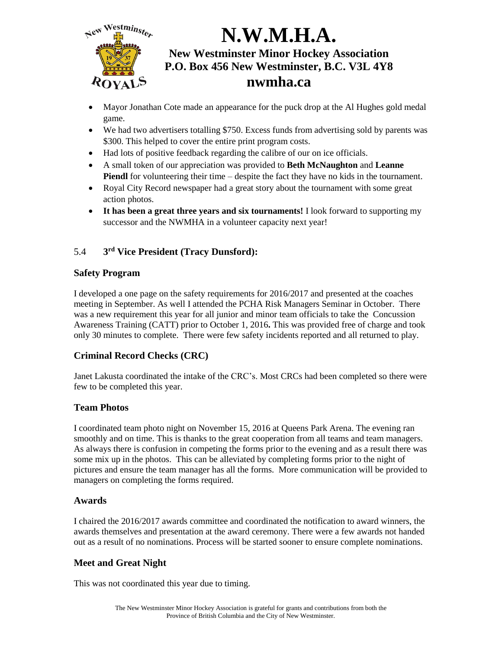

- Mayor Jonathan Cote made an appearance for the puck drop at the Al Hughes gold medal game.
- We had two advertisers totalling \$750. Excess funds from advertising sold by parents was \$300. This helped to cover the entire print program costs.
- Had lots of positive feedback regarding the calibre of our on ice officials.
- A small token of our appreciation was provided to **Beth McNaughton** and **Leanne Piendl** for volunteering their time – despite the fact they have no kids in the tournament.
- Royal City Record newspaper had a great story about the tournament with some great action photos.
- **It has been a great three years and six tournaments!** I look forward to supporting my successor and the NWMHA in a volunteer capacity next year!

#### 5.4 **3 rd Vice President (Tracy Dunsford):**

# **Safety Program**

I developed a one page on the safety requirements for 2016/2017 and presented at the coaches meeting in September. As well I attended the PCHA Risk Managers Seminar in October. There was a new requirement this year for all junior and minor team officials to take the Concussion Awareness Training (CATT) prior to October 1, 2016**.** This was provided free of charge and took only 30 minutes to complete. There were few safety incidents reported and all returned to play.

# **Criminal Record Checks (CRC)**

Janet Lakusta coordinated the intake of the CRC's. Most CRCs had been completed so there were few to be completed this year.

# **Team Photos**

I coordinated team photo night on November 15, 2016 at Queens Park Arena. The evening ran smoothly and on time. This is thanks to the great cooperation from all teams and team managers. As always there is confusion in competing the forms prior to the evening and as a result there was some mix up in the photos. This can be alleviated by completing forms prior to the night of pictures and ensure the team manager has all the forms. More communication will be provided to managers on completing the forms required.

# **Awards**

I chaired the 2016/2017 awards committee and coordinated the notification to award winners, the awards themselves and presentation at the award ceremony. There were a few awards not handed out as a result of no nominations. Process will be started sooner to ensure complete nominations.

# **Meet and Great Night**

This was not coordinated this year due to timing.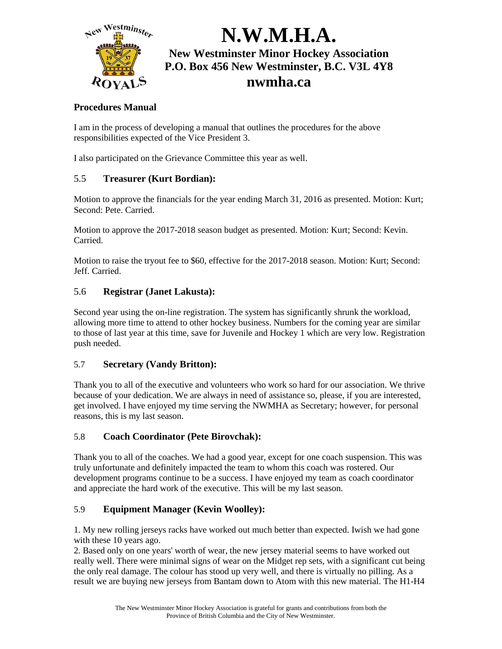

# **Procedures Manual**

I am in the process of developing a manual that outlines the procedures for the above responsibilities expected of the Vice President 3.

I also participated on the Grievance Committee this year as well.

# 5.5 **Treasurer (Kurt Bordian):**

Motion to approve the financials for the year ending March 31, 2016 as presented. Motion: Kurt; Second: Pete. Carried.

Motion to approve the 2017-2018 season budget as presented. Motion: Kurt; Second: Kevin. Carried.

Motion to raise the tryout fee to \$60, effective for the 2017-2018 season. Motion: Kurt; Second: Jeff. Carried.

# 5.6 **Registrar (Janet Lakusta):**

Second year using the on-line registration. The system has significantly shrunk the workload, allowing more time to attend to other hockey business. Numbers for the coming year are similar to those of last year at this time, save for Juvenile and Hockey 1 which are very low. Registration push needed.

# 5.7 **Secretary (Vandy Britton):**

Thank you to all of the executive and volunteers who work so hard for our association. We thrive because of your dedication. We are always in need of assistance so, please, if you are interested, get involved. I have enjoyed my time serving the NWMHA as Secretary; however, for personal reasons, this is my last season.

# 5.8 **Coach Coordinator (Pete Birovchak):**

Thank you to all of the coaches. We had a good year, except for one coach suspension. This was truly unfortunate and definitely impacted the team to whom this coach was rostered. Our development programs continue to be a success. I have enjoyed my team as coach coordinator and appreciate the hard work of the executive. This will be my last season.

# 5.9 **Equipment Manager (Kevin Woolley):**

1. My new rolling jerseys racks have worked out much better than expected. Iwish we had gone with these 10 years ago.

2. Based only on one years' worth of wear, the new jersey material seems to have worked out really well. There were minimal signs of wear on the Midget rep sets, with a significant cut being the only real damage. The colour has stood up very well, and there is virtually no pilling. As a result we are buying new jerseys from Bantam down to Atom with this new material. The H1-H4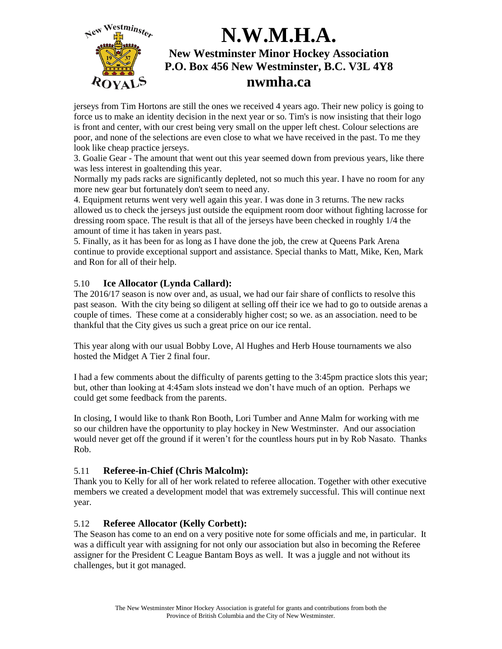

jerseys from Tim Hortons are still the ones we received 4 years ago. Their new policy is going to force us to make an identity decision in the next year or so. Tim's is now insisting that their logo is front and center, with our crest being very small on the upper left chest. Colour selections are poor, and none of the selections are even close to what we have received in the past. To me they look like cheap practice jerseys.

3. Goalie Gear - The amount that went out this year seemed down from previous years, like there was less interest in goaltending this year.

Normally my pads racks are significantly depleted, not so much this year. I have no room for any more new gear but fortunately don't seem to need any.

4. Equipment returns went very well again this year. I was done in 3 returns. The new racks allowed us to check the jerseys just outside the equipment room door without fighting lacrosse for dressing room space. The result is that all of the jerseys have been checked in roughly 1/4 the amount of time it has taken in years past.

5. Finally, as it has been for as long as I have done the job, the crew at Queens Park Arena continue to provide exceptional support and assistance. Special thanks to Matt, Mike, Ken, Mark and Ron for all of their help.

# 5.10 **Ice Allocator (Lynda Callard):**

The 2016/17 season is now over and, as usual, we had our fair share of conflicts to resolve this past season. With the city being so diligent at selling off their ice we had to go to outside arenas a couple of times. These come at a considerably higher cost; so we. as an association. need to be thankful that the City gives us such a great price on our ice rental.

This year along with our usual Bobby Love, Al Hughes and Herb House tournaments we also hosted the Midget A Tier 2 final four.

I had a few comments about the difficulty of parents getting to the 3:45pm practice slots this year; but, other than looking at 4:45am slots instead we don't have much of an option. Perhaps we could get some feedback from the parents.

In closing, I would like to thank Ron Booth, Lori Tumber and Anne Malm for working with me so our children have the opportunity to play hockey in New Westminster. And our association would never get off the ground if it weren't for the countless hours put in by Rob Nasato. Thanks Rob.

# 5.11 **Referee-in-Chief (Chris Malcolm):**

Thank you to Kelly for all of her work related to referee allocation. Together with other executive members we created a development model that was extremely successful. This will continue next year.

# 5.12 **Referee Allocator (Kelly Corbett):**

The Season has come to an end on a very positive note for some officials and me, in particular. It was a difficult year with assigning for not only our association but also in becoming the Referee assigner for the President C League Bantam Boys as well. It was a juggle and not without its challenges, but it got managed.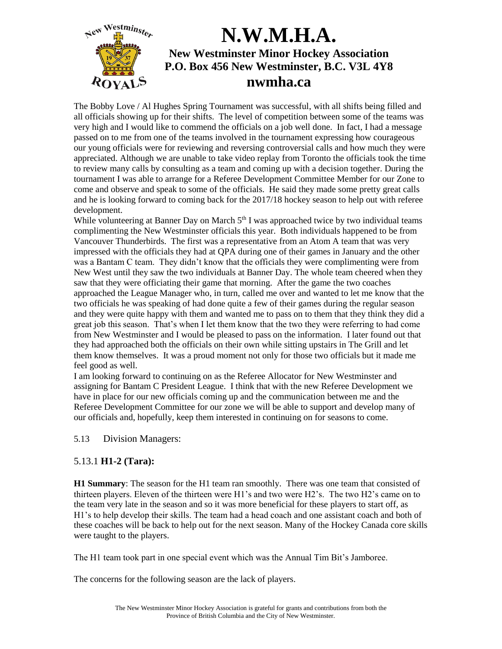

The Bobby Love / Al Hughes Spring Tournament was successful, with all shifts being filled and all officials showing up for their shifts. The level of competition between some of the teams was very high and I would like to commend the officials on a job well done. In fact, I had a message passed on to me from one of the teams involved in the tournament expressing how courageous our young officials were for reviewing and reversing controversial calls and how much they were appreciated. Although we are unable to take video replay from Toronto the officials took the time to review many calls by consulting as a team and coming up with a decision together. During the tournament I was able to arrange for a Referee Development Committee Member for our Zone to come and observe and speak to some of the officials. He said they made some pretty great calls and he is looking forward to coming back for the 2017/18 hockey season to help out with referee development.

While volunteering at Banner Day on March  $5<sup>th</sup>$  I was approached twice by two individual teams complimenting the New Westminster officials this year. Both individuals happened to be from Vancouver Thunderbirds. The first was a representative from an Atom A team that was very impressed with the officials they had at QPA during one of their games in January and the other was a Bantam C team. They didn't know that the officials they were complimenting were from New West until they saw the two individuals at Banner Day. The whole team cheered when they saw that they were officiating their game that morning. After the game the two coaches approached the League Manager who, in turn, called me over and wanted to let me know that the two officials he was speaking of had done quite a few of their games during the regular season and they were quite happy with them and wanted me to pass on to them that they think they did a great job this season. That's when I let them know that the two they were referring to had come from New Westminster and I would be pleased to pass on the information. I later found out that they had approached both the officials on their own while sitting upstairs in The Grill and let them know themselves. It was a proud moment not only for those two officials but it made me feel good as well.

I am looking forward to continuing on as the Referee Allocator for New Westminster and assigning for Bantam C President League. I think that with the new Referee Development we have in place for our new officials coming up and the communication between me and the Referee Development Committee for our zone we will be able to support and develop many of our officials and, hopefully, keep them interested in continuing on for seasons to come.

### 5.13 Division Managers:

# 5.13.1 **H1-2 (Tara):**

**H1 Summary**: The season for the H1 team ran smoothly. There was one team that consisted of thirteen players. Eleven of the thirteen were H1's and two were H2's. The two H2's came on to the team very late in the season and so it was more beneficial for these players to start off, as H1's to help develop their skills. The team had a head coach and one assistant coach and both of these coaches will be back to help out for the next season. Many of the Hockey Canada core skills were taught to the players.

The H1 team took part in one special event which was the Annual Tim Bit's Jamboree.

The concerns for the following season are the lack of players.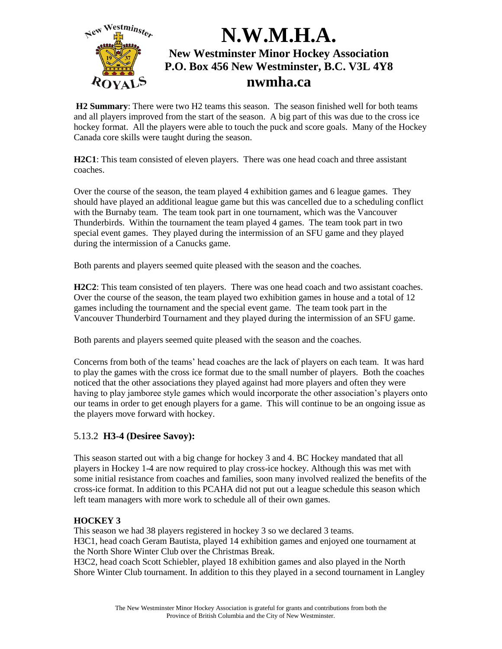

**H2 Summary**: There were two H2 teams this season. The season finished well for both teams and all players improved from the start of the season. A big part of this was due to the cross ice hockey format. All the players were able to touch the puck and score goals. Many of the Hockey Canada core skills were taught during the season.

**H2C1**: This team consisted of eleven players. There was one head coach and three assistant coaches.

Over the course of the season, the team played 4 exhibition games and 6 league games. They should have played an additional league game but this was cancelled due to a scheduling conflict with the Burnaby team. The team took part in one tournament, which was the Vancouver Thunderbirds. Within the tournament the team played 4 games. The team took part in two special event games. They played during the intermission of an SFU game and they played during the intermission of a Canucks game.

Both parents and players seemed quite pleased with the season and the coaches.

**H2C2**: This team consisted of ten players. There was one head coach and two assistant coaches. Over the course of the season, the team played two exhibition games in house and a total of 12 games including the tournament and the special event game. The team took part in the Vancouver Thunderbird Tournament and they played during the intermission of an SFU game.

Both parents and players seemed quite pleased with the season and the coaches.

Concerns from both of the teams' head coaches are the lack of players on each team. It was hard to play the games with the cross ice format due to the small number of players. Both the coaches noticed that the other associations they played against had more players and often they were having to play jamboree style games which would incorporate the other association's players onto our teams in order to get enough players for a game. This will continue to be an ongoing issue as the players move forward with hockey.

# 5.13.2 **H3-4 (Desiree Savoy):**

This season started out with a big change for hockey 3 and 4. BC Hockey mandated that all players in Hockey 1-4 are now required to play cross-ice hockey. Although this was met with some initial resistance from coaches and families, soon many involved realized the benefits of the cross-ice format. In addition to this PCAHA did not put out a league schedule this season which left team managers with more work to schedule all of their own games.

### **HOCKEY 3**

This season we had 38 players registered in hockey 3 so we declared 3 teams. H3C1, head coach Geram Bautista, played 14 exhibition games and enjoyed one tournament at the North Shore Winter Club over the Christmas Break.

H3C2, head coach Scott Schiebler, played 18 exhibition games and also played in the North Shore Winter Club tournament. In addition to this they played in a second tournament in Langley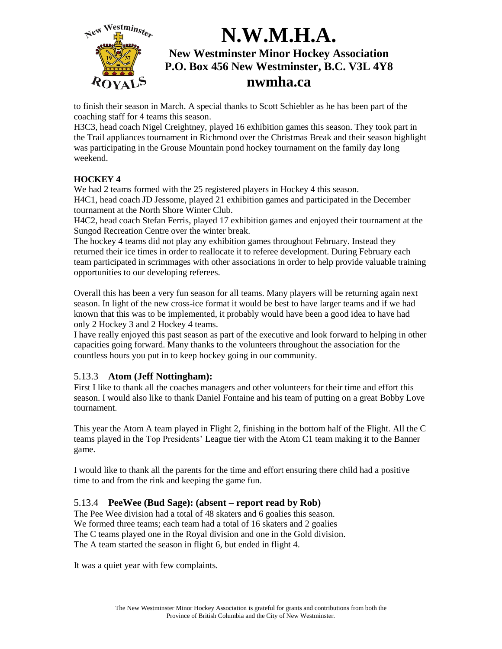

to finish their season in March. A special thanks to Scott Schiebler as he has been part of the coaching staff for 4 teams this season.

H3C3, head coach Nigel Creightney, played 16 exhibition games this season. They took part in the Trail appliances tournament in Richmond over the Christmas Break and their season highlight was participating in the Grouse Mountain pond hockey tournament on the family day long weekend.

### **HOCKEY 4**

We had 2 teams formed with the 25 registered players in Hockey 4 this season. H4C1, head coach JD Jessome, played 21 exhibition games and participated in the December tournament at the North Shore Winter Club.

H4C2, head coach Stefan Ferris, played 17 exhibition games and enjoyed their tournament at the Sungod Recreation Centre over the winter break.

The hockey 4 teams did not play any exhibition games throughout February. Instead they returned their ice times in order to reallocate it to referee development. During February each team participated in scrimmages with other associations in order to help provide valuable training opportunities to our developing referees.

Overall this has been a very fun season for all teams. Many players will be returning again next season. In light of the new cross-ice format it would be best to have larger teams and if we had known that this was to be implemented, it probably would have been a good idea to have had only 2 Hockey 3 and 2 Hockey 4 teams.

I have really enjoyed this past season as part of the executive and look forward to helping in other capacities going forward. Many thanks to the volunteers throughout the association for the countless hours you put in to keep hockey going in our community.

# 5.13.3 **Atom (Jeff Nottingham):**

First I like to thank all the coaches managers and other volunteers for their time and effort this season. I would also like to thank Daniel Fontaine and his team of putting on a great Bobby Love tournament.

This year the Atom A team played in Flight 2, finishing in the bottom half of the Flight. All the C teams played in the Top Presidents' League tier with the Atom C1 team making it to the Banner game.

I would like to thank all the parents for the time and effort ensuring there child had a positive time to and from the rink and keeping the game fun.

# 5.13.4 **PeeWee (Bud Sage): (absent – report read by Rob)**

The Pee Wee division had a total of 48 skaters and 6 goalies this season. We formed three teams; each team had a total of 16 skaters and 2 goalies The C teams played one in the Royal division and one in the Gold division. The A team started the season in flight 6, but ended in flight 4.

It was a quiet year with few complaints.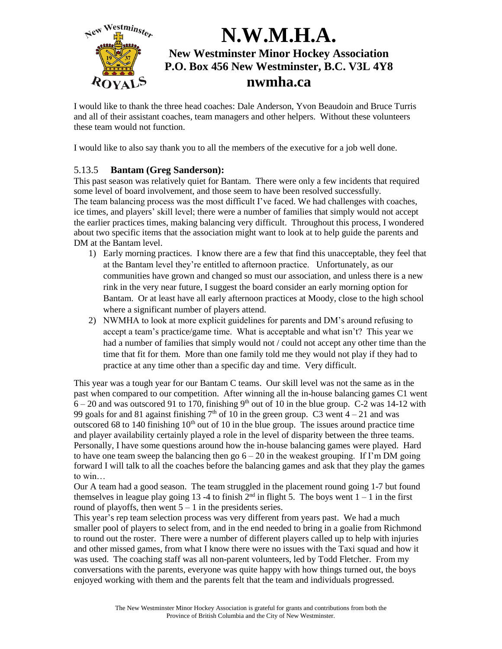

I would like to thank the three head coaches: Dale Anderson, Yvon Beaudoin and Bruce Turris and all of their assistant coaches, team managers and other helpers. Without these volunteers these team would not function.

I would like to also say thank you to all the members of the executive for a job well done.

# 5.13.5 **Bantam (Greg Sanderson):**

This past season was relatively quiet for Bantam. There were only a few incidents that required some level of board involvement, and those seem to have been resolved successfully. The team balancing process was the most difficult I've faced. We had challenges with coaches, ice times, and players' skill level; there were a number of families that simply would not accept the earlier practices times, making balancing very difficult. Throughout this process, I wondered about two specific items that the association might want to look at to help guide the parents and DM at the Bantam level.

- 1) Early morning practices. I know there are a few that find this unacceptable, they feel that at the Bantam level they're entitled to afternoon practice. Unfortunately, as our communities have grown and changed so must our association, and unless there is a new rink in the very near future, I suggest the board consider an early morning option for Bantam. Or at least have all early afternoon practices at Moody, close to the high school where a significant number of players attend.
- 2) NWMHA to look at more explicit guidelines for parents and DM's around refusing to accept a team's practice/game time. What is acceptable and what isn't? This year we had a number of families that simply would not / could not accept any other time than the time that fit for them. More than one family told me they would not play if they had to practice at any time other than a specific day and time. Very difficult.

This year was a tough year for our Bantam C teams. Our skill level was not the same as in the past when compared to our competition. After winning all the in-house balancing games C1 went  $6 - 20$  and was outscored 91 to 170, finishing 9<sup>th</sup> out of 10 in the blue group. C-2 was 14-12 with 99 goals for and 81 against finishing  $7<sup>th</sup>$  of 10 in the green group. C3 went 4 – 21 and was outscored 68 to 140 finishing  $10<sup>th</sup>$  out of 10 in the blue group. The issues around practice time and player availability certainly played a role in the level of disparity between the three teams. Personally, I have some questions around how the in-house balancing games were played. Hard to have one team sweep the balancing then go  $6 - 20$  in the weakest grouping. If I'm DM going forward I will talk to all the coaches before the balancing games and ask that they play the games to win…

Our A team had a good season. The team struggled in the placement round going 1-7 but found themselves in league play going 13 -4 to finish  $2<sup>nd</sup>$  in flight 5. The boys went  $1 - 1$  in the first round of playoffs, then went  $5 - 1$  in the presidents series.

This year's rep team selection process was very different from years past. We had a much smaller pool of players to select from, and in the end needed to bring in a goalie from Richmond to round out the roster. There were a number of different players called up to help with injuries and other missed games, from what I know there were no issues with the Taxi squad and how it was used. The coaching staff was all non-parent volunteers, led by Todd Fletcher. From my conversations with the parents, everyone was quite happy with how things turned out, the boys enjoyed working with them and the parents felt that the team and individuals progressed.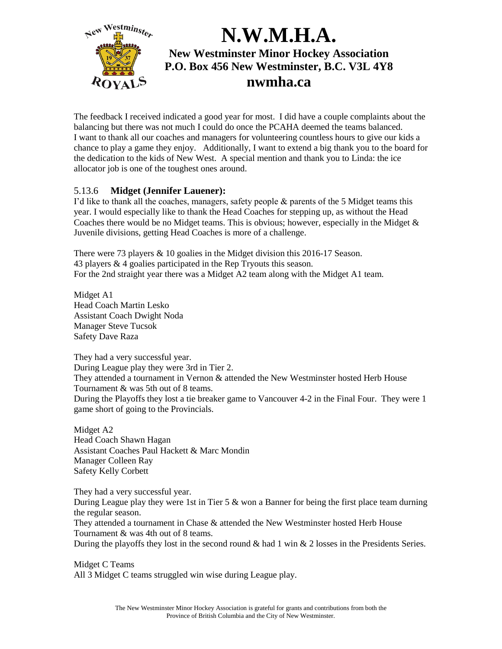

The feedback I received indicated a good year for most. I did have a couple complaints about the balancing but there was not much I could do once the PCAHA deemed the teams balanced. I want to thank all our coaches and managers for volunteering countless hours to give our kids a chance to play a game they enjoy. Additionally, I want to extend a big thank you to the board for the dedication to the kids of New West. A special mention and thank you to Linda: the ice allocator job is one of the toughest ones around.

# 5.13.6 **Midget (Jennifer Lauener):**

I'd like to thank all the coaches, managers, safety people  $\&$  parents of the 5 Midget teams this year. I would especially like to thank the Head Coaches for stepping up, as without the Head Coaches there would be no Midget teams. This is obvious; however, especially in the Midget  $\&$ Juvenile divisions, getting Head Coaches is more of a challenge.

There were 73 players & 10 goalies in the Midget division this 2016-17 Season. 43 players & 4 goalies participated in the Rep Tryouts this season. For the 2nd straight year there was a Midget A2 team along with the Midget A1 team.

Midget A1 Head Coach Martin Lesko Assistant Coach Dwight Noda Manager Steve Tucsok Safety Dave Raza

They had a very successful year. During League play they were 3rd in Tier 2. They attended a tournament in Vernon & attended the New Westminster hosted Herb House Tournament & was 5th out of 8 teams. During the Playoffs they lost a tie breaker game to Vancouver 4-2 in the Final Four. They were 1 game short of going to the Provincials.

Midget A2 Head Coach Shawn Hagan Assistant Coaches Paul Hackett & Marc Mondin Manager Colleen Ray Safety Kelly Corbett

They had a very successful year. During League play they were 1st in Tier  $5 \&$  won a Banner for being the first place team durning the regular season. They attended a tournament in Chase & attended the New Westminster hosted Herb House Tournament & was 4th out of 8 teams.

During the playoffs they lost in the second round  $\&$  had 1 win  $\&$  2 losses in the Presidents Series.

Midget C Teams All 3 Midget C teams struggled win wise during League play.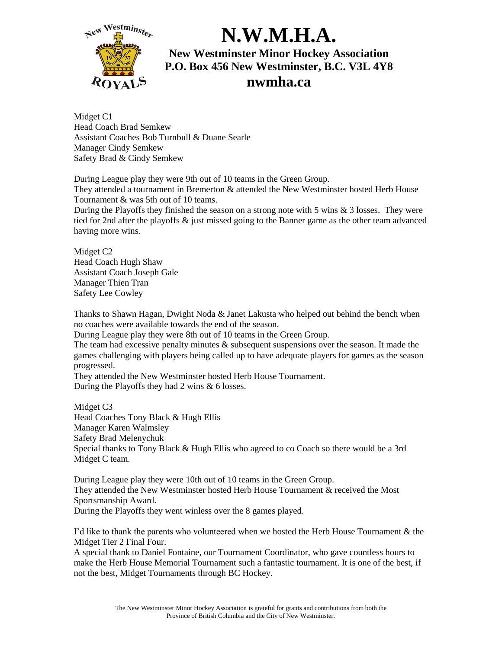

Midget C1 Head Coach Brad Semkew Assistant Coaches Bob Turnbull & Duane Searle Manager Cindy Semkew Safety Brad & Cindy Semkew

During League play they were 9th out of 10 teams in the Green Group. They attended a tournament in Bremerton & attended the New Westminster hosted Herb House Tournament & was 5th out of 10 teams.

During the Playoffs they finished the season on a strong note with 5 wins & 3 losses. They were tied for 2nd after the playoffs  $\&$  just missed going to the Banner game as the other team advanced having more wins.

Midget C2 Head Coach Hugh Shaw Assistant Coach Joseph Gale Manager Thien Tran Safety Lee Cowley

Thanks to Shawn Hagan, Dwight Noda & Janet Lakusta who helped out behind the bench when no coaches were available towards the end of the season.

During League play they were 8th out of 10 teams in the Green Group.

The team had excessive penalty minutes & subsequent suspensions over the season. It made the games challenging with players being called up to have adequate players for games as the season progressed.

They attended the New Westminster hosted Herb House Tournament. During the Playoffs they had 2 wins & 6 losses.

Midget C<sub>3</sub> Head Coaches Tony Black & Hugh Ellis Manager Karen Walmsley Safety Brad Melenychuk Special thanks to Tony Black & Hugh Ellis who agreed to co Coach so there would be a 3rd Midget C team.

During League play they were 10th out of 10 teams in the Green Group. They attended the New Westminster hosted Herb House Tournament & received the Most Sportsmanship Award. During the Playoffs they went winless over the 8 games played.

I'd like to thank the parents who volunteered when we hosted the Herb House Tournament  $\&$  the Midget Tier 2 Final Four.

A special thank to Daniel Fontaine, our Tournament Coordinator, who gave countless hours to make the Herb House Memorial Tournament such a fantastic tournament. It is one of the best, if not the best, Midget Tournaments through BC Hockey.